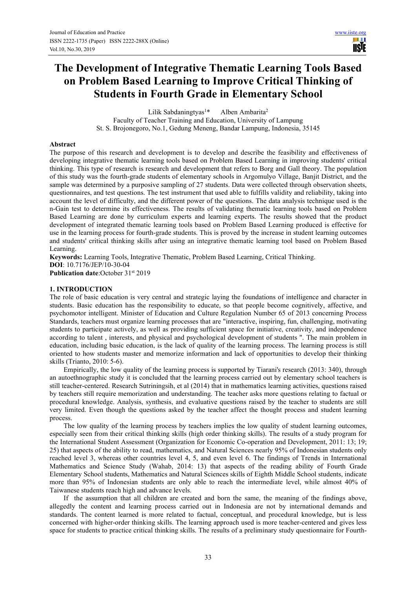# **The Development of Integrative Thematic Learning Tools Based on Problem Based Learning to Improve Critical Thinking of Students in Fourth Grade in Elementary School**

Lilik Sabdaningtyas<sup>1\*</sup> Alben Ambarita<sup>2</sup>

Faculty of Teacher Training and Education, University of Lampung

St. S. Brojonegoro, No.1, Gedung Meneng, Bandar Lampung, Indonesia, 35145

# **Abstract**

The purpose of this research and development is to develop and describe the feasibility and effectiveness of developing integrative thematic learning tools based on Problem Based Learning in improving students' critical thinking. This type of research is research and development that refers to Borg and Gall theory. The population of this study was the fourth-grade students of elementary schools in Argomulyo Village, Banjit District, and the sample was determined by a purposive sampling of 27 students. Data were collected through observation sheets, questionnaires, and test questions. The test instrument that used able to fulfills validity and reliability, taking into account the level of difficulty, and the different power of the questions. The data analysis technique used is the n-Gain test to determine its effectiveness. The results of validating thematic learning tools based on Problem Based Learning are done by curriculum experts and learning experts. The results showed that the product development of integrated thematic learning tools based on Problem Based Learning produced is effective for use in the learning process for fourth-grade students. This is proved by the increase in student learning outcomes and students' critical thinking skills after using an integrative thematic learning tool based on Problem Based Learning.

**Keywords:** Learning Tools, Integrative Thematic, Problem Based Learning, Critical Thinking. **DOI**: 10.7176/JEP/10-30-04 **Publication date**:October 31st 2019

# **1. INTRODUCTION**

The role of basic education is very central and strategic laying the foundations of intelligence and character in students. Basic education has the responsibility to educate, so that people become cognitively, affective, and psychomotor intelligent. Minister of Education and Culture Regulation Number 65 of 2013 concerning Process Standards, teachers must organize learning processes that are "interactive, inspiring, fun, challenging, motivating students to participate actively, as well as providing sufficient space for initiative, creativity, and independence according to talent , interests, and physical and psychological development of students ". The main problem in education, including basic education, is the lack of quality of the learning process. The learning process is still oriented to how students master and memorize information and lack of opportunities to develop their thinking skills (Trianto, 2010: 5-6).

Empirically, the low quality of the learning process is supported by Tiarani's research (2013: 340), through an autoethnographic study it is concluded that the learning process carried out by elementary school teachers is still teacher-centered. Research Sutriningsih, et al (2014) that in mathematics learning activities, questions raised by teachers still require memorization and understanding. The teacher asks more questions relating to factual or procedural knowledge. Analysis, synthesis, and evaluative questions raised by the teacher to students are still very limited. Even though the questions asked by the teacher affect the thought process and student learning process.

The low quality of the learning process by teachers implies the low quality of student learning outcomes, especially seen from their critical thinking skills (high order thinking skills). The results of a study program for the International Student Assessment (Organization for Economic Co-operation and Development, 2011: 13; 19; 25) that aspects of the ability to read, mathematics, and Natural Sciences nearly 95% of Indonesian students only reached level 3, whereas other countries level 4, 5, and even level 6. The findings of Trends in International Mathematics and Science Study (Wahab, 2014: 13) that aspects of the reading ability of Fourth Grade Elementary School students, Mathematics and Natural Sciences skills of Eighth Middle School students, indicate more than 95% of Indonesian students are only able to reach the intermediate level, while almost 40% of Taiwanese students reach high and advance levels.

If the assumption that all children are created and born the same, the meaning of the findings above, allegedly the content and learning process carried out in Indonesia are not by international demands and standards. The content learned is more related to factual, conceptual, and procedural knowledge, but is less concerned with higher-order thinking skills. The learning approach used is more teacher-centered and gives less space for students to practice critical thinking skills. The results of a preliminary study questionnaire for Fourth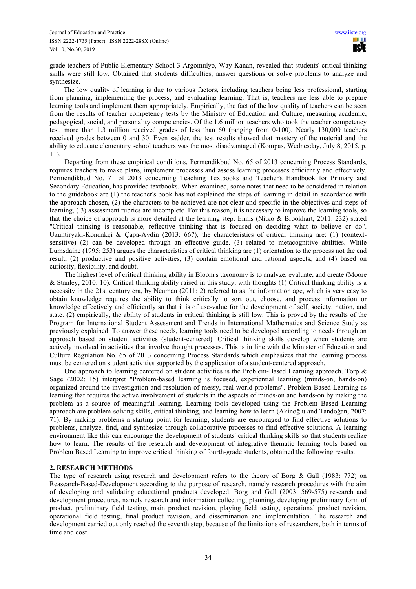grade teachers of Public Elementary School 3 Argomulyo, Way Kanan, revealed that students' critical thinking skills were still low. Obtained that students difficulties, answer questions or solve problems to analyze and synthesize.

The low quality of learning is due to various factors, including teachers being less professional, starting from planning, implementing the process, and evaluating learning. That is, teachers are less able to prepare learning tools and implement them appropriately. Empirically, the fact of the low quality of teachers can be seen from the results of teacher competency tests by the Ministry of Education and Culture, measuring academic, pedagogical, social, and personality competencies. Of the 1.6 million teachers who took the teacher competency test, more than 1.3 million received grades of less than 60 (ranging from 0-100). Nearly 130,000 teachers received grades between 0 and 30. Even sadder, the test results showed that mastery of the material and the ability to educate elementary school teachers was the most disadvantaged (Kompas, Wednesday, July 8, 2015, p. 11).

Departing from these empirical conditions, Permendikbud No. 65 of 2013 concerning Process Standards, requires teachers to make plans, implement processes and assess learning processes efficiently and effectively. Permendikbud No. 71 of 2013 concerning Teaching Textbooks and Teacher's Handbook for Primary and Secondary Education, has provided textbooks. When examined, some notes that need to be considered in relation to the guidebook are (1) the teacher's book has not explained the steps of learning in detail in accordance with the approach chosen, (2) the characters to be achieved are not clear and specific in the objectives and steps of learning, ( 3) assessment rubrics are incomplete. For this reason, it is necessary to improve the learning tools, so that the choice of approach is more detailed at the learning step. Ennis (Nitko & Brookhart, 2011: 232) stated "Critical thinking is reasonable, reflective thinking that is focused on deciding what to believe or do". Uzuntiryaki-Kondakçi & Çapa-Aydin (2013: 667), the characteristics of critical thinking are: (1) (contextsensitive) (2) can be developed through an effective guide. (3) related to metacognitive abilities. While Lumsdaine (1995: 253) argues the characteristics of critical thinking are (1) orientation to the process not the end result, (2) productive and positive activities, (3) contain emotional and rational aspects, and (4) based on curiosity, flexibility, and doubt.

The highest level of critical thinking ability in Bloom's taxonomy is to analyze, evaluate, and create (Moore & Stanley, 2010: 10). Critical thinking ability raised in this study, with thoughts (1) Critical thinking ability is a necessity in the 21st century era, by Neuman (2011: 2) referred to as the information age, which is very easy to obtain knowledge requires the ability to think critically to sort out, choose, and process information or knowledge effectively and efficiently so that it is of use-value for the development of self, society, nation, and state. (2) empirically, the ability of students in critical thinking is still low. This is proved by the results of the Program for International Student Assessment and Trends in International Mathematics and Science Study as previously explained. To answer these needs, learning tools need to be developed according to needs through an approach based on student activities (student-centered). Critical thinking skills develop when students are actively involved in activities that involve thought processes. This is in line with the Minister of Education and Culture Regulation No. 65 of 2013 concerning Process Standards which emphasizes that the learning process must be centered on student activities supported by the application of a student-centered approach.

One approach to learning centered on student activities is the Problem-Based Learning approach. Torp & Sage (2002: 15) interpret "Problem-based learning is focused, experiential learning (minds-on, hands-on) organized around the investigation and resolution of messy, real-world problems". Problem Based Learning as learning that requires the active involvement of students in the aspects of minds-on and hands-on by making the problem as a source of meaningful learning. Learning tools developed using the Problem Based Learning approach are problem-solving skills, critical thinking, and learning how to learn (Akinoǧlu and Tandoǧan, 2007: 71). By making problems a starting point for learning, students are encouraged to find effective solutions to problems, analyze, find, and synthesize through collaborative processes to find effective solutions. A learning environment like this can encourage the development of students' critical thinking skills so that students realize how to learn. The results of the research and development of integrative thematic learning tools based on Problem Based Learning to improve critical thinking of fourth-grade students, obtained the following results.

# **2. RESEARCH METHODS**

The type of research using research and development refers to the theory of Borg & Gall (1983: 772) on Reasearch-Based-Development according to the purpose of research, namely research procedures with the aim of developing and validating educational products developed. Borg and Gall (2003: 569-575) research and development procedures, namely research and information collecting, planning, developing preliminary form of product, preliminary field testing, main product revision, playing field testing, operational product revision, operational field testing, final product revision, and dissemination and implementation. The research and development carried out only reached the seventh step, because of the limitations of researchers, both in terms of time and cost.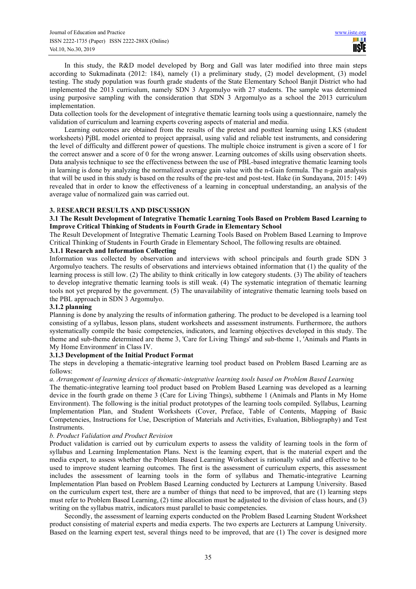In this study, the R&D model developed by Borg and Gall was later modified into three main steps according to Sukmadinata (2012: 184), namely (1) a preliminary study, (2) model development, (3) model testing. The study population was fourth grade students of the State Elementary School Banjit District who had implemented the 2013 curriculum, namely SDN 3 Argomulyo with 27 students. The sample was determined using purposive sampling with the consideration that SDN 3 Argomulyo as a school the 2013 curriculum implementation.

Data collection tools for the development of integrative thematic learning tools using a questionnaire, namely the validation of curriculum and learning experts covering aspects of material and media.

Learning outcomes are obtained from the results of the pretest and posttest learning using LKS (student worksheets) PjBL model oriented to project appraisal, using valid and reliable test instruments, and considering the level of difficulty and different power of questions. The multiple choice instrument is given a score of 1 for the correct answer and a score of 0 for the wrong answer. Learning outcomes of skills using observation sheets. Data analysis technique to see the effectiveness between the use of PBL-based integrative thematic learning tools in learning is done by analyzing the normalized average gain value with the n-Gain formula. The n-gain analysis that will be used in this study is based on the results of the pre-test and post-test. Hake (in Sundayana, 2015: 149) revealed that in order to know the effectiveness of a learning in conceptual understanding, an analysis of the average value of normalized gain was carried out.

# **3.** R**ESEARCH RESULTS AND DISCUSSION**

#### **3.1 The Result Development of Integrative Thematic Learning Tools Based on Problem Based Learning to Improve Critical Thinking of Students in Fourth Grade in Elementary School**

The Result Development of Integrative Thematic Learning Tools Based on Problem Based Learning to Improve Critical Thinking of Students in Fourth Grade in Elementary School, The following results are obtained.

#### **3.1.1 Research and Information Collecting**

Information was collected by observation and interviews with school principals and fourth grade SDN 3 Argomulyo teachers. The results of observations and interviews obtained information that (1) the quality of the learning process is still low. (2) The ability to think critically in low category students. (3) The ability of teachers to develop integrative thematic learning tools is still weak. (4) The systematic integration of thematic learning tools not yet prepared by the government. (5) The unavailability of integrative thematic learning tools based on the PBL approach in SDN 3 Argomulyo.

#### **3.1.2 planning**

Planning is done by analyzing the results of information gathering. The product to be developed is a learning tool consisting of a syllabus, lesson plans, student worksheets and assessment instruments. Furthermore, the authors systematically compile the basic competencies, indicators, and learning objectives developed in this study. The theme and sub-theme determined are theme 3, 'Care for Living Things' and sub-theme 1, 'Animals and Plants in My Home Environment' in Class IV.

#### **3.1.3 Development of the Initial Product Format**

The steps in developing a thematic-integrative learning tool product based on Problem Based Learning are as follows:

#### *a. Arrangement of learning devices of thematic-integrative learning tools based on Problem Based Learning*

The thematic-integrative learning tool product based on Problem Based Learning was developed as a learning device in the fourth grade on theme 3 (Care for Living Things), subtheme 1 (Animals and Plants in My Home Environment). The following is the initial product prototypes of the learning tools compiled. Syllabus, Learning Implementation Plan, and Student Worksheets (Cover, Preface, Table of Contents, Mapping of Basic Competencies, Instructions for Use, Description of Materials and Activities, Evaluation, Bibliography) and Test Instruments.

#### *b. Product Validation and Product Revision*

Product validation is carried out by curriculum experts to assess the validity of learning tools in the form of syllabus and Learning Implementation Plans. Next is the learning expert, that is the material expert and the media expert, to assess whether the Problem Based Learning Worksheet is rationally valid and effective to be used to improve student learning outcomes. The first is the assessment of curriculum experts, this assessment includes the assessment of learning tools in the form of syllabus and Thematic-integrative Learning Implementation Plan based on Problem Based Learning conducted by Lecturers at Lampung University. Based on the curriculum expert test, there are a number of things that need to be improved, that are (1) learning steps must refer to Problem Based Learning, (2) time allocation must be adjusted to the division of class hours, and (3) writing on the syllabus matrix, indicators must parallel to basic competencies.

Secondly, the assessment of learning experts conducted on the Problem Based Learning Student Worksheet product consisting of material experts and media experts. The two experts are Lecturers at Lampung University. Based on the learning expert test, several things need to be improved, that are (1) The cover is designed more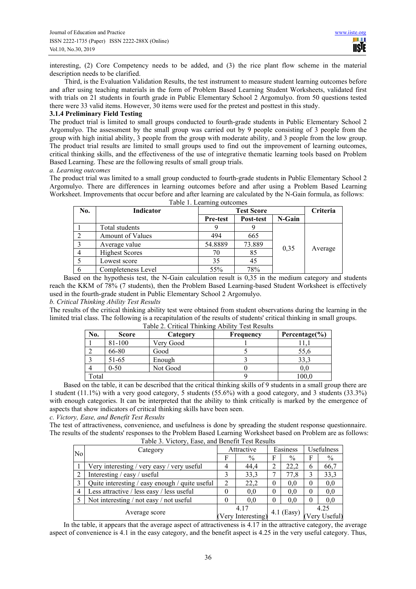interesting, (2) Core Competency needs to be added, and (3) the rice plant flow scheme in the material description needs to be clarified.

Third, is the Evaluation Validation Results, the test instrument to measure student learning outcomes before and after using teaching materials in the form of Problem Based Learning Student Worksheets, validated first with trials on 21 students in fourth grade in Public Elementary School 2 Argomulyo. from 50 questions tested there were 33 valid items. However, 30 items were used for the pretest and posttest in this study.

#### **3.1.4 Preliminary Field Testing**

The product trial is limited to small groups conducted to fourth-grade students in Public Elementary School 2 Argomulyo. The assessment by the small group was carried out by 9 people consisting of 3 people from the group with high initial ability, 3 people from the group with moderate ability, and 3 people from the low group. The product trial results are limited to small groups used to find out the improvement of learning outcomes, critical thinking skills, and the effectiveness of the use of integrative thematic learning tools based on Problem Based Learning. These are the following results of small group trials.

#### *a. Learning outcomes*

The product trial was limited to a small group conducted to fourth-grade students in Public Elementary School 2 Argomulyo. There are differences in learning outcomes before and after using a Problem Based Learning Worksheet. Improvements that occur before and after learning are calculated by the N-Gain formula, as follows:

| No. | <b>Indicator</b>      |          | Criteria  |        |         |
|-----|-----------------------|----------|-----------|--------|---------|
|     |                       | Pre-test | Post-test | N-Gain |         |
|     | Total students        |          |           |        |         |
|     | Amount of Values      | 494      | 665       |        |         |
|     | Average value         | 54.8889  | 73.889    | 0.35   |         |
|     | <b>Highest Scores</b> | 70       | 85        |        | Average |
|     | Lowest score          | 35       | 45        |        |         |
| 6   | Completeness Level    | 55%      | 78%       |        |         |

Table 1. Learning outcomes

Based on the hypothesis test, the N-Gain calculation result is 0,35 in the medium category and students reach the KKM of 78% (7 students), then the Problem Based Learning-based Student Worksheet is effectively used in the fourth-grade student in Public Elementary School 2 Argomulyo.

# *b. Critical Thinking Ability Test Results*

The results of the critical thinking ability test were obtained from student observations during the learning in the limited trial class. The following is a recapitulation of the results of students' critical thinking in small groups. Table 2. Critical Thinking Ability Test Results

| No.   | <b>Score</b> | Category  | Frequency | Percentage $(\% )$ |
|-------|--------------|-----------|-----------|--------------------|
|       | 81-100       | Verv Good |           | ‼. ∏               |
|       | 66-80        | Good      |           | 55,6               |
|       | $51 - 65$    | Enough    |           | 33,3               |
|       | $0 - 50$     | Not Good  |           | 0,0                |
| Total |              |           |           | 100,0              |

Based on the table, it can be described that the critical thinking skills of 9 students in a small group there are 1 student (11.1%) with a very good category, 5 students (55.6%) with a good category, and 3 students (33.3%) with enough categories. It can be interpreted that the ability to think critically is marked by the emergence of aspects that show indicators of critical thinking skills have been seen.

*c. Victory, Ease, and Benefit Test Results* 

The test of attractiveness, convenience, and usefulness is done by spreading the student response questionnaire. The results of the students' responses to the Problem Based Learning Worksheet based on Problem are as follows: Table 3. Victory, Ease, and Benefit Test Results

| Table 5. Victory, Ease, and Benefit Test Results |                                                |      |                              |              |               |                                                 |                         |  |
|--------------------------------------------------|------------------------------------------------|------|------------------------------|--------------|---------------|-------------------------------------------------|-------------------------|--|
| No                                               | Category                                       |      | Attractive                   |              | Easiness      |                                                 | Usefulness              |  |
|                                                  |                                                | F    | $\frac{0}{0}$                | F            | $\frac{0}{0}$ | F<br>6<br>3<br>$\theta$<br>$\theta$<br>$\theta$ | $\frac{0}{0}$           |  |
|                                                  | Very interesting / very easy / very useful     |      | 44,4                         | ∍            | 22.2          |                                                 | 66,7                    |  |
| 2                                                | Interesting / easy / useful                    |      | 33,3                         |              | 77.8          |                                                 | 33,3                    |  |
| $\mathcal{E}$                                    | Quite interesting / easy enough / quite useful | 2    | 22,2                         | $\theta$     | 0.0           |                                                 | 0,0                     |  |
| $\overline{4}$                                   | Less attractive / less easy / less useful      | 0    | 0,0                          | $\theta$     | 0.0           |                                                 | 0,0                     |  |
|                                                  | Not interesting / not easy / not useful        | 0    | 0.0                          | $\theta$     | 0.0           |                                                 | 0.0                     |  |
|                                                  |                                                | 4.17 |                              | 4.1 (Easy) ' |               |                                                 |                         |  |
|                                                  | Average score                                  |      | $(Very \text{ Interesting})$ |              |               |                                                 | $4.25$<br>(Very Useful) |  |

In the table, it appears that the average aspect of attractiveness is 4.17 in the attractive category, the average aspect of convenience is 4.1 in the easy category, and the benefit aspect is 4.25 in the very useful category. Thus,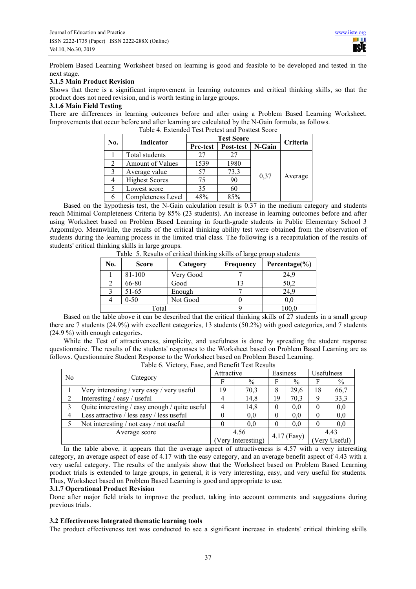Problem Based Learning Worksheet based on learning is good and feasible to be developed and tested in the next stage.

# **3.1.5 Main Product Revision**

Shows that there is a significant improvement in learning outcomes and critical thinking skills, so that the product does not need revision, and is worth testing in large groups.

### **3.1.6 Main Field Testing**

There are differences in learning outcomes before and after using a Problem Based Learning Worksheet. Improvements that occur before and after learning are calculated by the N-Gain formula, as follows. Table 4. Extended Test Pretest and Posttest Score

| No. | <b>Indicator</b>        | <b>Test Score</b> | Criteria  |        |         |  |
|-----|-------------------------|-------------------|-----------|--------|---------|--|
|     |                         | Pre-test          | Post-test | N-Gain |         |  |
|     | Total students          | 27                | 27        |        |         |  |
| 2   | <b>Amount of Values</b> | 1539              | 1980      |        | Average |  |
| -3  | Average value           | 57                | 73,3      |        |         |  |
|     | <b>Highest Scores</b>   | 75                | 90        | 0,37   |         |  |
|     | Lowest score            | 35                | 60        |        |         |  |
|     | Completeness Level      | 48%               | 85%       |        |         |  |

Based on the hypothesis test, the N-Gain calculation result is 0.37 in the medium category and students reach Minimal Completeness Criteria by 85% (23 students). An increase in learning outcomes before and after using Worksheet based on Problem Based Learning in fourth-grade students in Public Elementary School 3 Argomulyo. Meanwhile, the results of the critical thinking ability test were obtained from the observation of students during the learning process in the limited trial class. The following is a recapitulation of the results of students' critical thinking skills in large groups.

|       | Tuble 3: Reballs of efficial infiniting sums of harge group statemes |           |           |                    |  |  |
|-------|----------------------------------------------------------------------|-----------|-----------|--------------------|--|--|
| No.   | <b>Score</b>                                                         | Category  | Frequency | Percentage $(\% )$ |  |  |
|       | 81-100                                                               | Very Good |           | 24,9               |  |  |
|       | 66-80                                                                | Good      |           | 50,2               |  |  |
|       | $51 - 65$                                                            | Enough    |           | 24,9               |  |  |
|       | $0 - 50$                                                             | Not Good  |           | 0.0                |  |  |
| Total |                                                                      |           |           | 100,0              |  |  |

Table 5. Results of critical thinking skills of large group students

Based on the table above it can be described that the critical thinking skills of 27 students in a small group there are 7 students (24.9%) with excellent categories, 13 students (50.2%) with good categories, and 7 students (24.9 %) with enough categories.

While the Test of attractiveness, simplicity, and usefulness is done by spreading the student response questionnaire. The results of the students' responses to the Worksheet based on Problem Based Learning are as follows. Questionnaire Student Response to the Worksheet based on Problem Based Learning.

| N <sub>0</sub> |                                                | Attractive         |      | Easiness    |               | Usefulness    |      |
|----------------|------------------------------------------------|--------------------|------|-------------|---------------|---------------|------|
|                | Category                                       | F                  | $\%$ | F           | $\frac{0}{0}$ | F             | $\%$ |
|                | Very interesting / very easy / very useful     | 19                 | 70.3 | 8           | 29,6          | 18            | 66,7 |
| 2              | Interesting / easy / useful                    |                    | 14,8 | 19          | 70,3          | 9             | 33,3 |
| 3              | Quite interesting / easy enough / quite useful |                    | 14,8 | $\theta$    | 0,0           | 0             | 0,0  |
| $\overline{4}$ | Less attractive / less easy / less useful      |                    | 0,0  |             | 0.0           | 0             | 0,0  |
|                | Not interesting / not easy / not useful        |                    | 0.0  |             | 0.0           |               | 0,0  |
| Average score  |                                                | 4.56               |      | 4.17 (Easy) |               | 4.43          |      |
|                |                                                | (Very Interesting) |      |             |               | (Very Useful) |      |

Table 6. Victory, Ease, and Benefit Test Results

In the table above, it appears that the average aspect of attractiveness is 4.57 with a very interesting category, an average aspect of ease of 4.17 with the easy category, and an average benefit aspect of 4.43 with a very useful category. The results of the analysis show that the Worksheet based on Problem Based Learning product trials is extended to large groups, in general, it is very interesting, easy, and very useful for students. Thus, Worksheet based on Problem Based Learning is good and appropriate to use.

#### **3.1.7 Operational Product Revision**

Done after major field trials to improve the product, taking into account comments and suggestions during previous trials.

# **3.2 Effectiveness Integrated thematic learning tools**

The product effectiveness test was conducted to see a significant increase in students' critical thinking skills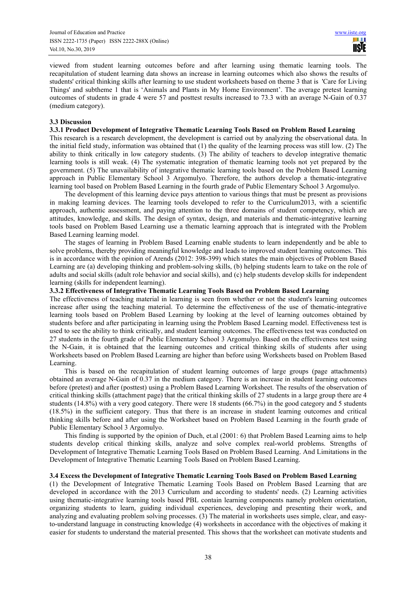IISIE

viewed from student learning outcomes before and after learning using thematic learning tools. The recapitulation of student learning data shows an increase in learning outcomes which also shows the results of students' critical thinking skills after learning to use student worksheets based on theme 3 that is 'Care for Living Things' and subtheme 1 that is 'Animals and Plants in My Home Environment'. The average pretest learning outcomes of students in grade 4 were 57 and posttest results increased to 73.3 with an average N-Gain of 0.37 (medium category).

#### **3.3 Discussion**

# **3.3.1 Product Development of Integrative Thematic Learning Tools Based on Problem Based Learning**

This research is a research development, the development is carried out by analyzing the observational data. In the initial field study, information was obtained that (1) the quality of the learning process was still low. (2) The ability to think critically in low category students. (3) The ability of teachers to develop integrative thematic learning tools is still weak. (4) The systematic integration of thematic learning tools not yet prepared by the government. (5) The unavailability of integrative thematic learning tools based on the Problem Based Learning approach in Public Elementary School 3 Argomulyo. Therefore, the authors develop a thematic-integrative learning tool based on Problem Based Learning in the fourth grade of Public Elementary School 3 Argomulyo.

The development of this learning device pays attention to various things that must be present as provisions in making learning devices. The learning tools developed to refer to the Curriculum2013, with a scientific approach, authentic assessment, and paying attention to the three domains of student competency, which are attitudes, knowledge, and skills. The design of syntax, design, and materials and thematic-integrative learning tools based on Problem Based Learning use a thematic learning approach that is integrated with the Problem Based Learning learning model.

The stages of learning in Problem Based Learning enable students to learn independently and be able to solve problems, thereby providing meaningful knowledge and leads to improved student learning outcomes. This is in accordance with the opinion of Arends (2012: 398-399) which states the main objectives of Problem Based Learning are (a) developing thinking and problem-solving skills, (b) helping students learn to take on the role of adults and social skills (adult role behavior and social skills), and (c) help students develop skills for independent learning (skills for independent learning).

### **3.3.2 Effectiveness of Integrative Thematic Learning Tools Based on Problem Based Learning**

The effectiveness of teaching material in learning is seen from whether or not the student's learning outcomes increase after using the teaching material. To determine the effectiveness of the use of thematic-integrative learning tools based on Problem Based Learning by looking at the level of learning outcomes obtained by students before and after participating in learning using the Problem Based Learning model. Effectiveness test is used to see the ability to think critically, and student learning outcomes. The effectiveness test was conducted on 27 students in the fourth grade of Public Elementary School 3 Argomulyo. Based on the effectiveness test using the N-Gain, it is obtained that the learning outcomes and critical thinking skills of students after using Worksheets based on Problem Based Learning are higher than before using Worksheets based on Problem Based Learning.

This is based on the recapitulation of student learning outcomes of large groups (page attachments) obtained an average N-Gain of 0.37 in the medium category. There is an increase in student learning outcomes before (pretest) and after (posttest) using a Problem Based Learning Worksheet. The results of the observation of critical thinking skills (attachment page) that the critical thinking skills of 27 students in a large group there are 4 students (14.8%) with a very good category. There were 18 students (66.7%) in the good category and 5 students (18.5%) in the sufficient category. Thus that there is an increase in student learning outcomes and critical thinking skills before and after using the Worksheet based on Problem Based Learning in the fourth grade of Public Elementary School 3 Argomulyo.

This finding is supported by the opinion of Duch, et.al (2001: 6) that Problem Based Learning aims to help students develop critical thinking skills, analyze and solve complex real-world problems. Strengths of Development of Integrative Thematic Learning Tools Based on Problem Based Learning. And Limitations in the Development of Integrative Thematic Learning Tools Based on Problem Based Learning.

#### **3.4 Excess the Development of Integrative Thematic Learning Tools Based on Problem Based Learning**

(1) the Development of Integrative Thematic Learning Tools Based on Problem Based Learning that are developed in accordance with the 2013 Curriculum and according to students' needs. (2) Learning activities using thematic-integrative learning tools based PBL contain learning components namely problem orientation, organizing students to learn, guiding individual experiences, developing and presenting their work, and analyzing and evaluating problem solving processes. (3) The material in worksheets uses simple, clear, and easyto-understand language in constructing knowledge (4) worksheets in accordance with the objectives of making it easier for students to understand the material presented. This shows that the worksheet can motivate students and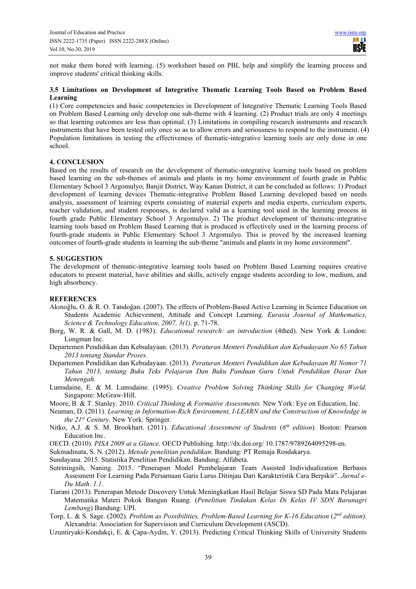not make them bored with learning. (5) worksheet based on PBL help and simplify the learning process and improve students' critical thinking skills.

# **3.5 Limitations on Development of Integrative Thematic Learning Tools Based on Problem Based Learning**

(1) Core competencies and basic competencies in Development of Integrative Thematic Learning Tools Based on Problem Based Learning only develop one sub-theme with 4 learning. (2) Product trials are only 4 meetings so that learning outcomes are less than optimal. (3) Limitations in compiling research instruments and research instruments that have been tested only once so as to allow errors and seriousness to respond to the instrument. (4) Population limitations in testing the effectiveness of thematic-integrative learning tools are only done in one school.

# **4. CONCLUSION**

Based on the results of research on the development of thematic-integrative learning tools based on problem based learning on the sub-themes of animals and plants in my home environment of fourth grade in Public Elementary School 3 Argomulyo, Banjit District, Way Kanan District, it can be concluded as follows: 1) Product development of learning devices Thematic-integrative Problem Based Learning developed based on needs analysis, assessment of learning experts consisting of material experts and media experts, curriculum experts, teacher validation, and student responses, is declared valid as a learning tool used in the learning process in fourth grade Public Elementary School 3 Argomulyo. 2) The product development of thematic-integrative learning tools based on Problem Based Learning that is produced is effectively used in the learning process of fourth-grade students in Public Elementary School 3 Argomulyo. This is proved by the increased learning outcomes of fourth-grade students in learning the sub-theme "animals and plants in my home environment".

# **5. SUGGESTION**

The development of thematic-integrative learning tools based on Problem Based Learning requires creative educators to present material, have abilities and skills, actively engage students according to low, medium, and high absorbency.

# **REFERENCES**

- Akınoǧlu, O. & R. O. Tandoǧan. (2007). The effects of Problem-Based Active Learning in Science Education on Students Academic Achievement, Attitude and Concept Learning. *Eurasia Journal of Mathematics, Science & Technology Education, 2007, 3(1),* p. 71-78.
- Borg, W. R. & Gall, M. D. (1983). *Educational research: an introduction* (4thed). New York & London: Longman Inc.
- Departemen Pendidikan dan Kebudayaan. (2013). *Peraturan Menteri Pendidikan dan Kebudayaan No 65 Tahun 2013 tentang Standar Proses.*
- Departemen Pendidikan dan Kebudayaan. (2013). *Peraturan Menteri Pendidikan dan Kebudayaan RI Nomor 71 Tahun 2013, tentang Buku Teks Pelajaran Dan Buku Panduan Guru Untuk Pendidikan Dasar Dan Menengah.*
- Lumsdaine, E. & M. Lumsdaine. (1995). *Creative Problem Solving Thinking Skills for Changing World.*  Singapore: McGraw-Hill.

Moore, B. & T. Stanley. 2010. *Critical Thinking & Formative Assessments.* New York: Eye on Education, Inc.

- Neuman, D. (2011). *Learning in Information-Rich Environment, I-LEARN and the Construction of Knowledge in the 21st Century.* New York: Springer.
- Nitko, A.J. & S. M. Brookhart. (2011). *Educational Assessment of Students* (*6 th edition*). Boston: Pearson Education Inc.
- OECD. (2010). *PISA 2009 at a Glance*. OECD Publishing. http://dx.doi.org/ 10.1787/9789264095298-en.

Sukmadinata, S. N. (2012). *Metode penelitian pendidikan.* Bandung: PT Remaja Rosdakarya.

- Sundayana. 2015. Statistika Penelitian Pendidikan. Bandung: Alfabeta.
- Sutriningsih, Naning. 2015. "Penerapan Model Pembelajaran Team Assisted Individualization Berbasis Assesment For Learning Pada Persamaan Garis Lurus Ditinjau Dari Karakteristik Cara Berpikir". *Jurnal e-Du Math. 1.1*.
- Tiarani (2013). Penerapan Metode Discovery Untuk Meningkatkan Hasil Belajar Siswa SD Pada Mata Pelajaran Matematika Materi Pokok Bangun Ruang. (*Penelitian Tindakan Kelas Di Kelas IV SDN Barunagri Lembang*) Bandung: UPI.
- Torp, L. & S. Sage. (2002). *Problem as Possibilities, Problem-Based Learning for K-16 Education (2<sup>nd</sup> edition).* Alexandria: Association for Supervision and Curriculum Development (ASCD).
- Uzuntiryaki-Kondakçi, E. & Çapa-Aydin, Y. (2013). Predicting Critical Thinking Skills of University Students